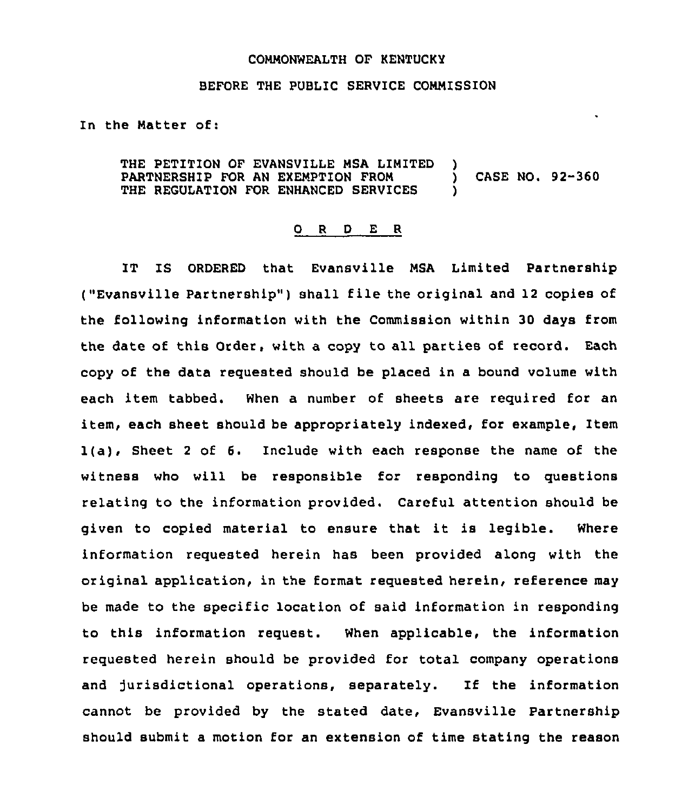## COMMONWEALTH OF KENTUCKY

## BEFORE THE PUBLIC SERVICE COMMISSION

In the Matter of:

THE PETITION OF EVANSVILLE MSA LIMITED PARTNERSHIP FOR AN EXEMPTION FROM THE REGULATION FOR ENHANCED SERVICES )<br>) ) CASE NO. 92-360 )

## 0 <sup>R</sup> <sup>D</sup> E <sup>R</sup>

IT IS ORDERED that Evansville MSA Limited Partnership ("Evansville Partnership" ) shall file the original and <sup>12</sup> copies of the following information with the Commission within 30 days from the date of this Order, with a copy to all parties of record. Each copy of the data requested should be placed in a bound volume with each item tabbed. When a number of sheets are required for an item, each sheet should be appropriately indexed, for example, Item 1(a), Sheet <sup>2</sup> of 6. Include with each response the name of the witness who will be responsible for responding to questions relating to the information provided. Careful attention should be given to copied material to ensure that it is legible. Where information requested herein has been provided along with the original application, in the format requested herein, reference may be made to the specific location of said information in responding to this information request. When applicable, the information requested herein should be provided for total company operations and jurisdictional operations, separately. If the information cannot be provided by the stated date, Evansville Partnership should submit a motion for an extension of time stating the reason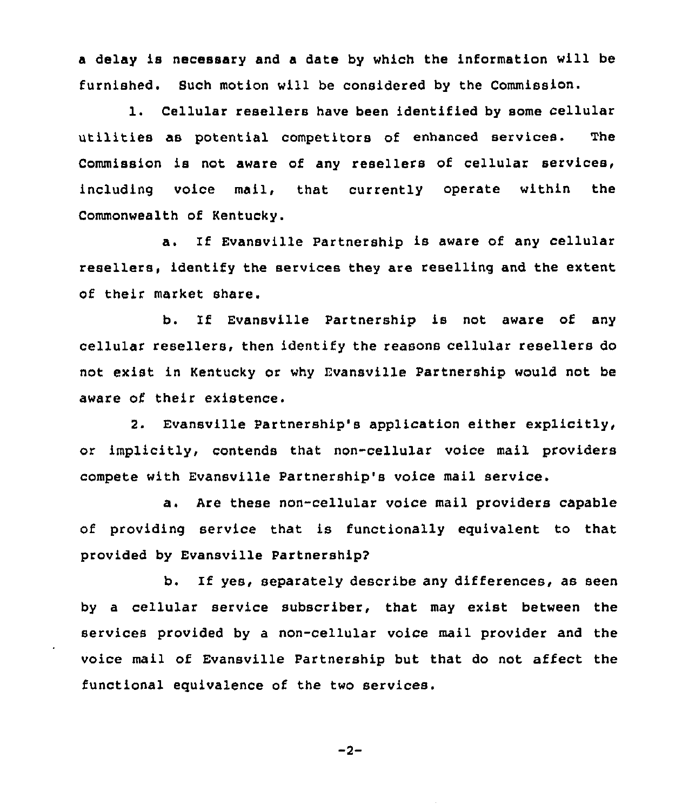<sup>a</sup> delay is necessary and a date by which the information will be furnished. Such motion will be considered by the Commission.

1. Cellular resellers have been identified by some cellular utilities as potential competitors of enhanced services. The Commission is not aware of any resellers of cellular services, including voice mail, that currently operate within the Commonwealth of Kentucky.

a. If Evansville Partnership is aware of any cellular resellers, identify the services they are reselling and the extent of their market share.

b. If Evansville Partnership is not aware of any cellular resellers, then identify the reasons cellular resellers do not exist in Kentucky or why Evansville Partnership would not be aware of their existence.

2. Evansville Partnership's application either explicitly, or implicitly, contends that non-cellular voice mail providers compete with Evansville Partnership's voice mail service.

a. Are these non-cellular voice mail providers capable of providing service that is functionally equivalent to that provided by Evansville Partnershipg

b. If yes, separately describe any differences, as seen by a cellular service subscriber, that may exist between the services provided by a non-cellular voice mail provider and the voice mail of Evansville Partnership but that do not affect the functional equivalence of the two services.

$$
-2 -
$$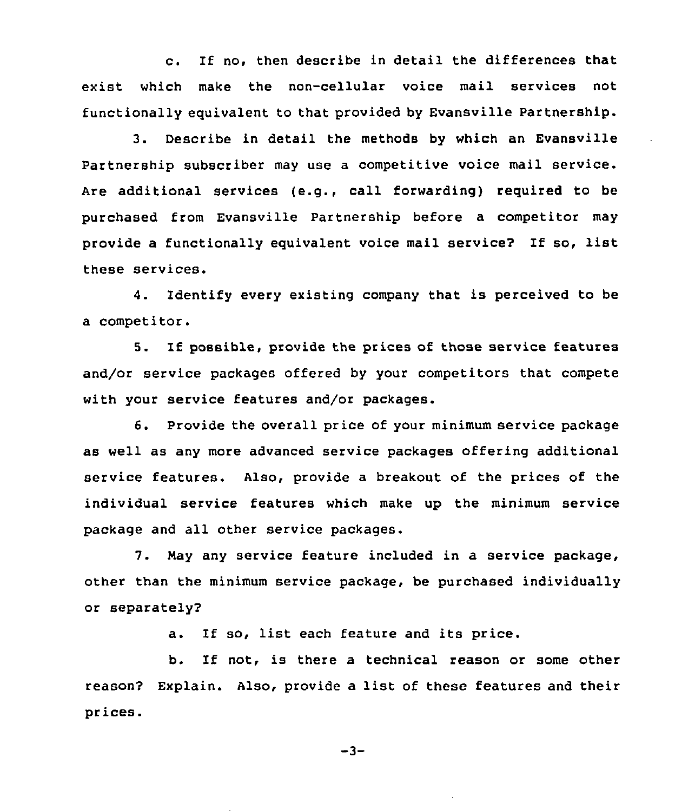c. If no, then describe in detail the differences that exist which make the non-cellular voice mail services not functionally equivalent to that provided by Evansville Partnership.

3. Describe in detail the methods by which an Evansville Partnership subscriber may use a competitive voice mail service. Are additional services (e.g., call forwarding) required to be purchased from Evansville Partnership before a competitor may provide <sup>a</sup> functionally equivalent voice mail service? If so, list these services.

4. Identify every existing company that is perceived to be a competitor.

5. If possible, provide the prices of those service features and/or service packages offered by your competitors that compete with your service features and/or packages.

6. Provide the overall price of your minimum service package as well as any more advanced service packages offering additional service features. Also, provide a breakout of the prices of the individual service features which make up the minimum service package and all other service packages.

7. Nay any service feature included in a service package, other than the minimum service package, be purchased individually or separately?

a. If so, list each feature and its price.

b. If not, is there a technical reason or some other reason? Explain. Also, provide a list of these features and their prices.

 $-3-$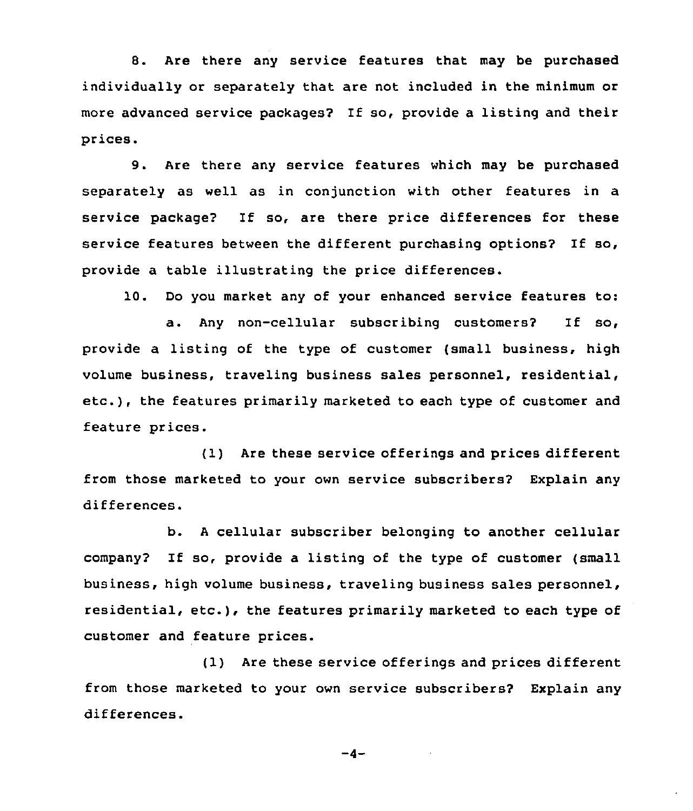8. Are there any service features that may be purchased individually or separately that are not included in the minimum oz more advanced service packages? If so, provide a listing and their prices.

9. Are there any service features which may be purchased separately as well as in conjunction with other features in a service package? If so, are there price differences for these service features between the different purchasing options? If so, provide a table illustrating the price differences.

10. Do you market any of your enhanced service features to:

a. Any non-cellular subscribing customers2 If so, provide a listing of the type of customer (small business, high volume business, traveling business sales personnel, residential, etc.), the features primarily marketed to each type of customer and feature prices.

(1) Are these service offerings and prices different from those marketed to your own service subscribers2 Explain any differences.

b. <sup>A</sup> cellular subscriber belonging to another cellular company? If so, provide <sup>a</sup> listing of the type of customer (small business, high volume business, traveling business sales personnel, residential, etc.), the features primarily marketed to each type of customer and feature prices.

(1) Are these service offerings and prices different from those marketed to your own service subscribers? Explain any differences.

 $-4-$